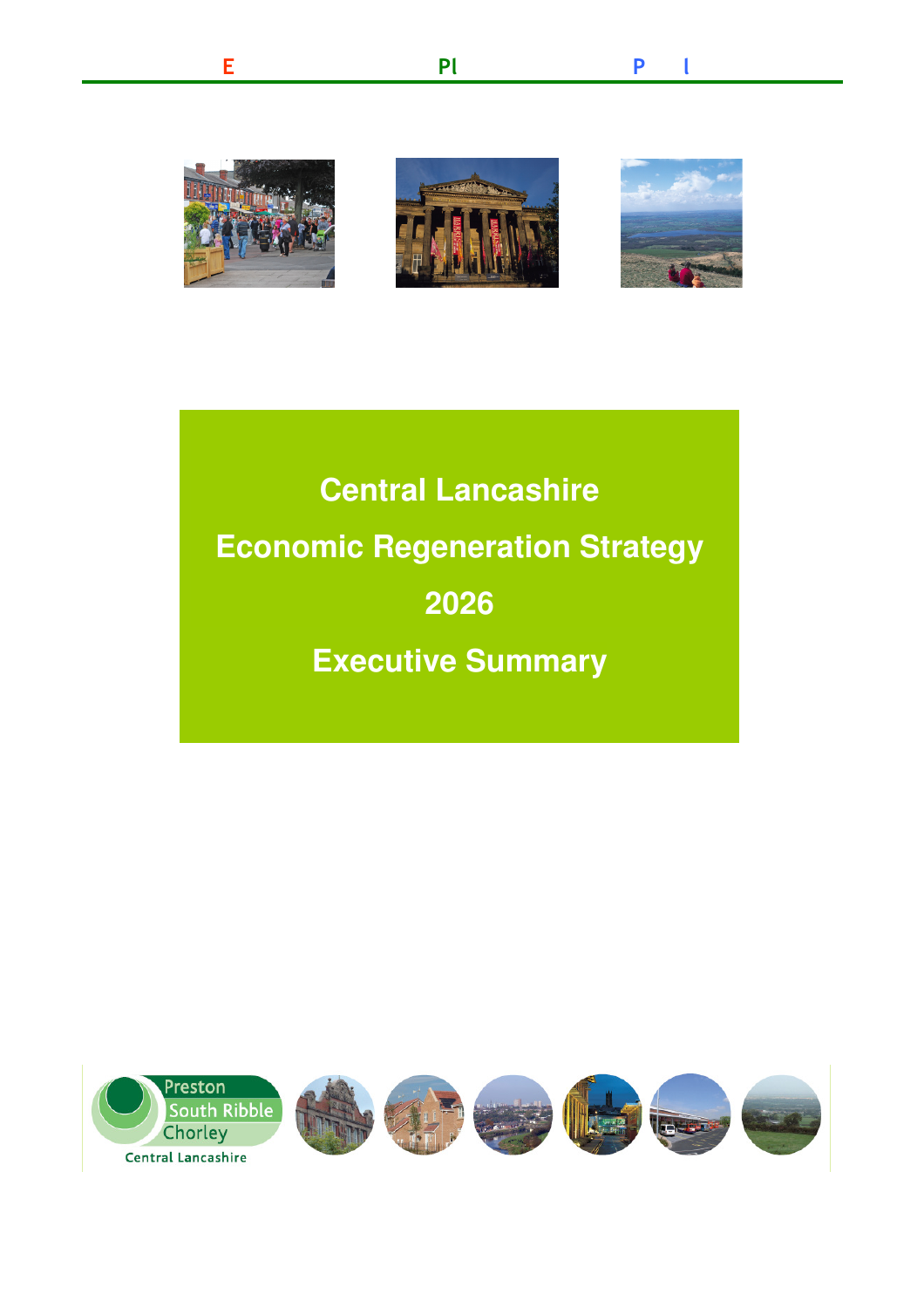

conomy **definition in the Post** in the Post in the Post in the Post in the Post in the Post in the Post in the Post in

E Pl Pl Pl

 **Economic Regeneration Strategy Executive Summary Central Lancashire 2026** 

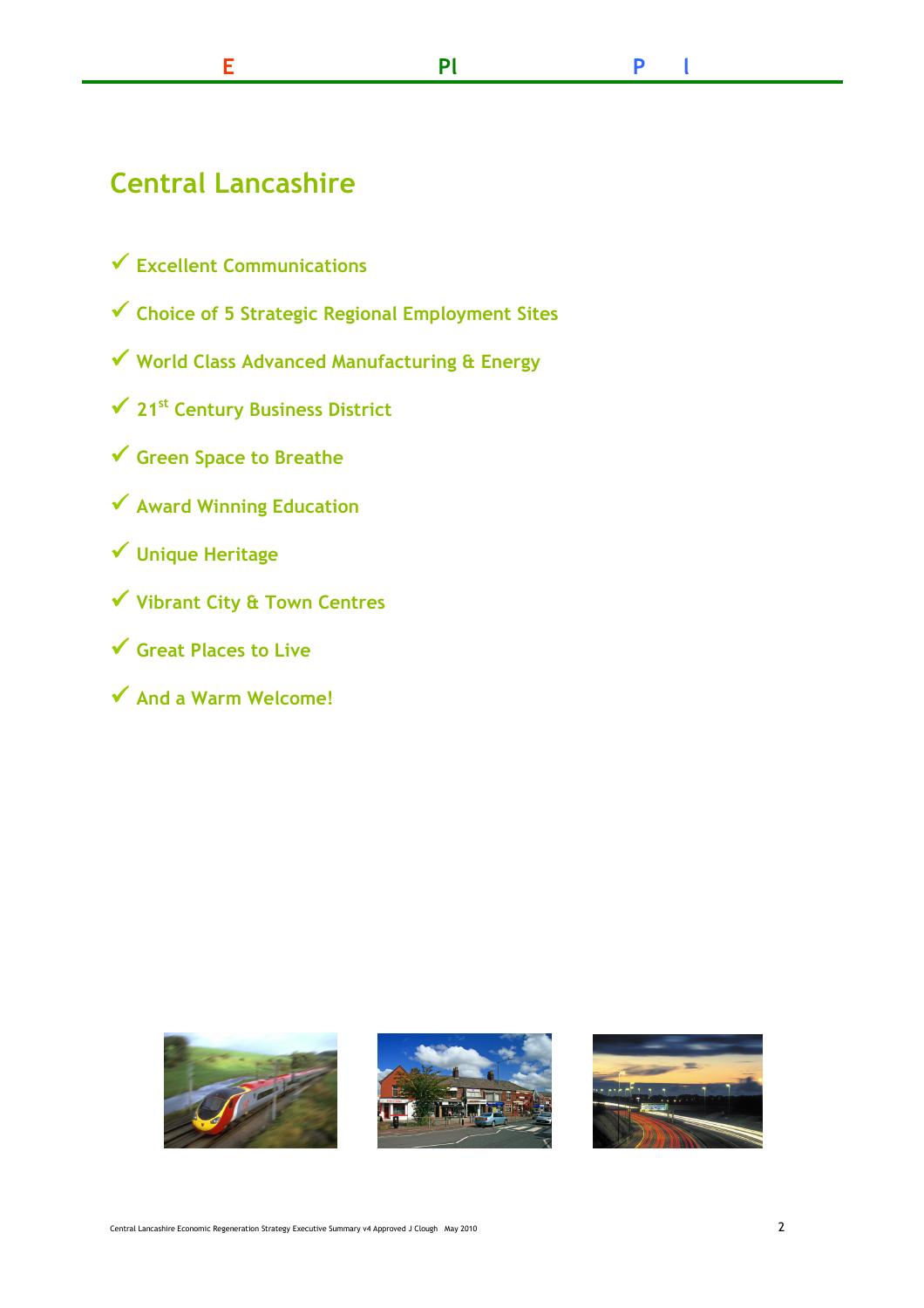# Central Lancashire

- $\checkmark$  Excellent Communications
- � Choice of <sup>5</sup> Strategic Regional Employment Sites
- � World Class Advanced Manufacturing & Energy
- $\checkmark$  21st Century Business District
- � Green Space to Breathe
- ◆ Award Winning Education
- � Unique Heritage
- � Vibrant City & Town Centres
- $\checkmark$  Great Places to Live
- ◆ And a Warm Welcome!





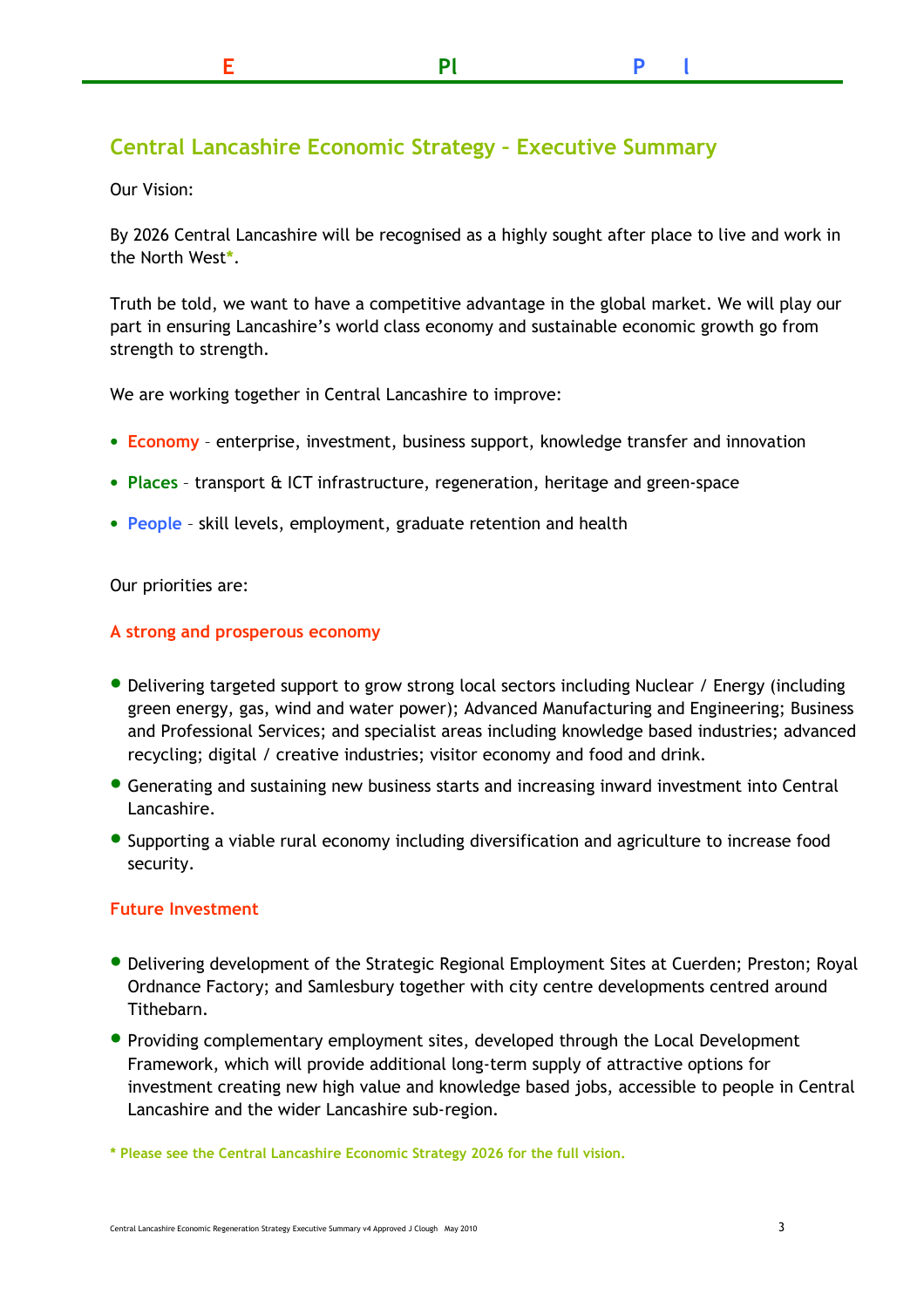# Central Lancashire Economic Strategy – Executive Summary

Our Vision:

 By 2026 Central Lancashire will be recognised as a highly sought after place to live and work in the North West\*.

 Truth be told, we want to have a competitive advantage in the global market. We will play our part in ensuring Lancashire's world class economy and sustainable economic growth go from strength to strength.

We are working together in Central Lancashire to improve:

- Economy enterprise, investment, business support, knowledge transfer and innovation
- Places transport & ICT infrastructure, regeneration, heritage and green-space
- People skill levels, employment, graduate retention and health

Our priorities are:

#### A strong and prosperous economy

- • Delivering targeted support to grow strong local sectors including Nuclear / Energy (including green energy, gas, wind and water power); Advanced Manufacturing and Engineering; Business and Professional Services; and specialist areas including knowledge based industries; advanced recycling; digital / creative industries; visitor economy and food and drink.
- Generating and sustaining new business starts and increasing inward investment into Central Lancashire.
- Supporting <sup>a</sup> viable rural economy including diversification and agriculture to increase food security.

### Future Investment

- Delivering development of the Strategic Regional Employment Sites at Cuerden; Preston; Royal Ordnance Factory; and Samlesbury together with city centre developments centred around Tithebarn.
- Providing complementary employment sites, developed through the Local Development Framework, which will provide additional long-term supply of attractive options for investment creating new high value and knowledge based jobs, accessible to people in Central Lancashire and the wider Lancashire sub-region.

\* Please see the Central Lancashire Economic Strategy 2026 for the full vision.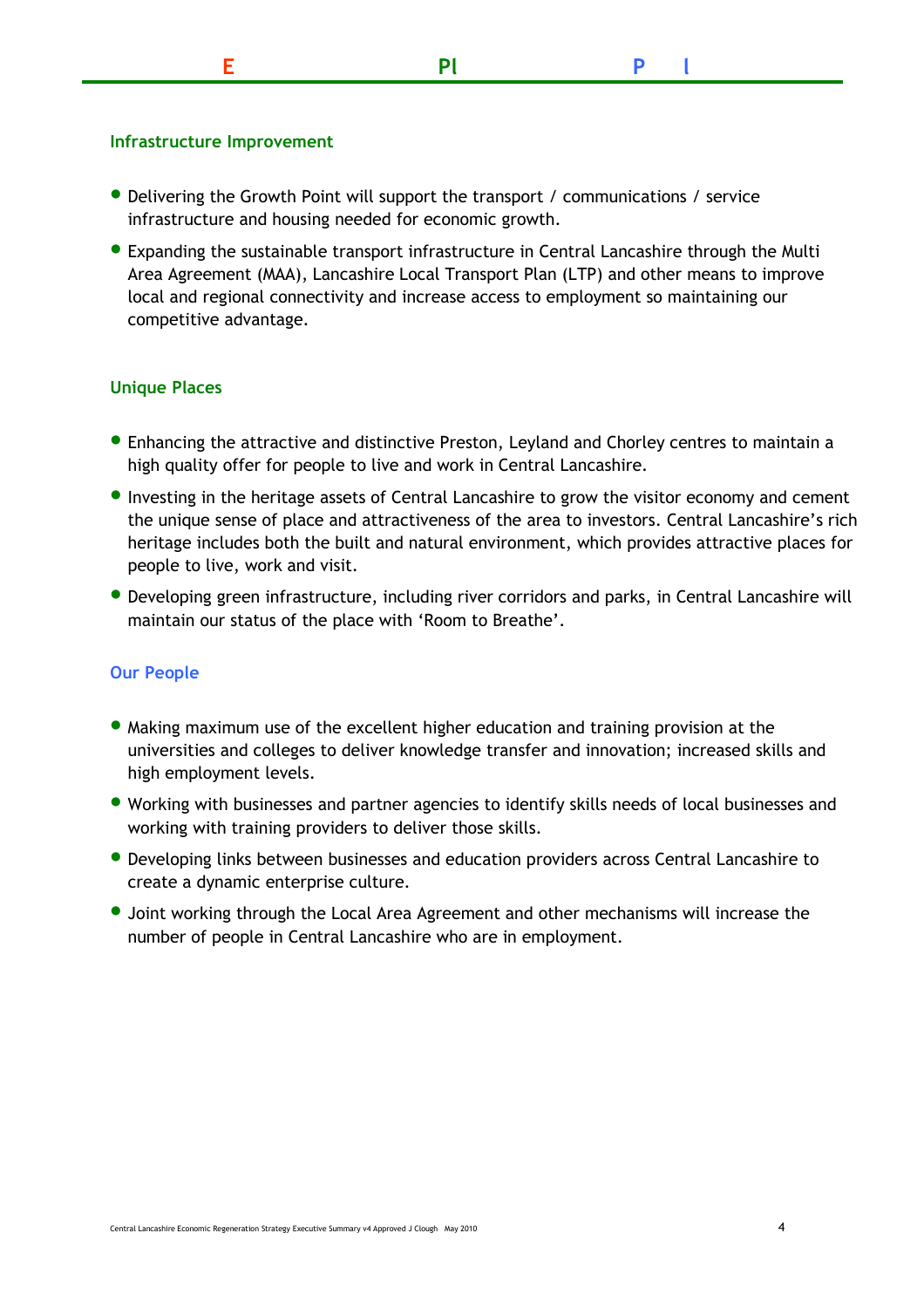## Infrastructure Improvement

- Delivering the Growth Point will support the transport / communications / service infrastructure and housing needed for economic growth.
- Expanding the sustainable transport infrastructure in Central Lancashire through the Multi Area Agreement (MAA), Lancashire Local Transport Plan (LTP) and other means to improve local and regional connectivity and increase access to employment so maintaining our competitive advantage.

# Unique Places

- • Enhancing the attractive and distinctive Preston, Leyland and Chorley centres to maintain <sup>a</sup> high quality offer for people to live and work in Central Lancashire.
- Investing in the heritage assets of Central Lancashire to grow the visitor economy and cement the unique sense of place and attractiveness of the area to investors. Central Lancashire's rich heritage includes both the built and natural environment, which provides attractive places for people to live, work and visit.
- Developing green infrastructure, including river corridors and parks, in Central Lancashire will maintain our status of the place with 'Room to Breathe'.

# Our People

- • Making maximum use of the excellent higher education and training provision at the universities and colleges to deliver knowledge transfer and innovation; increased skills and high employment levels.
- Working with businesses and partner agencies to identify skills needs of local businesses and working with training providers to deliver those skills.
- Developing links between businesses and education providers across Central Lancashire to create a dynamic enterprise culture.
- • Joint working through the Local Area Agreement and other mechanisms will increase the number of people in Central Lancashire who are in employment.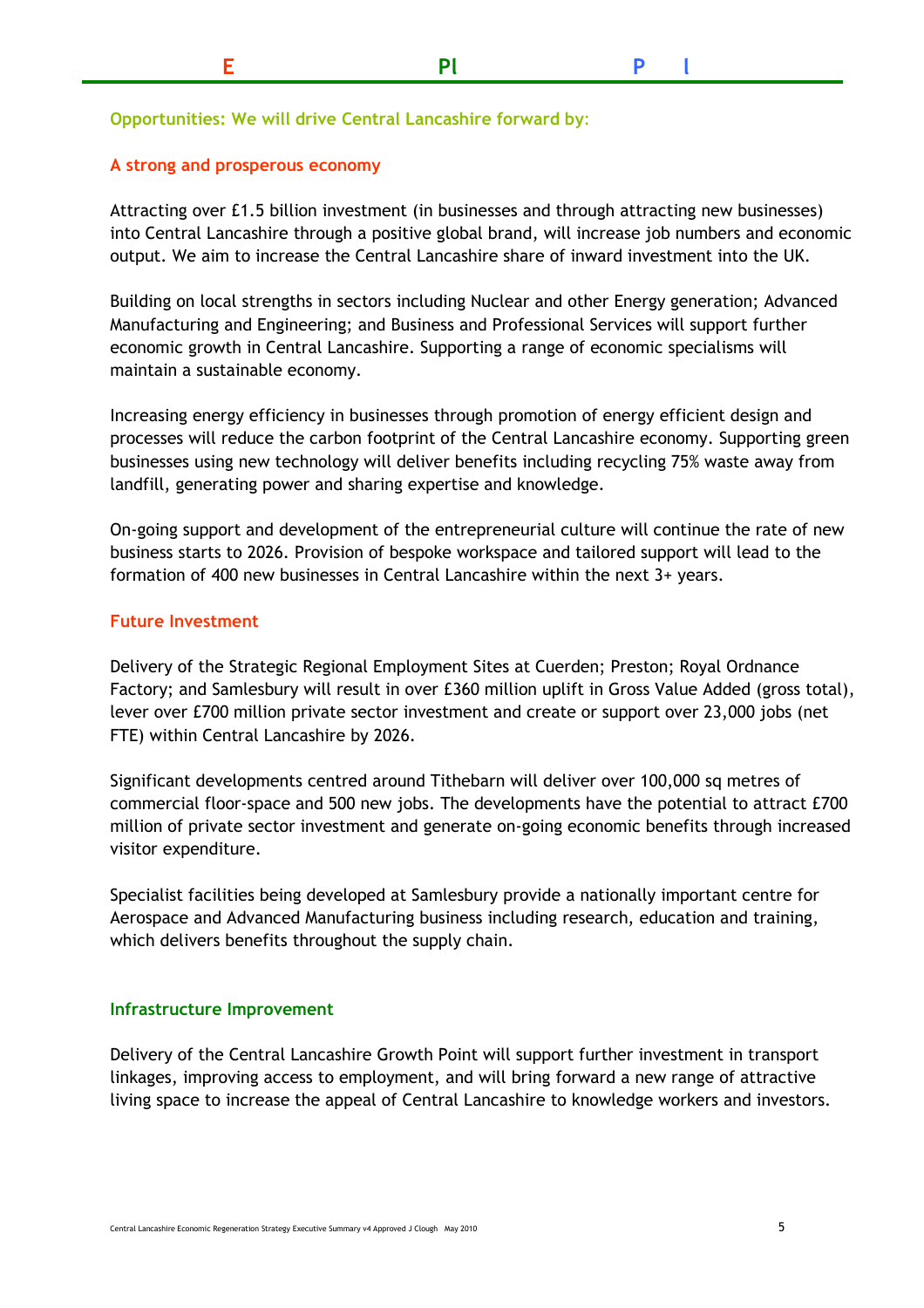## Opportunities: We will drive Central Lancashire forward by:

### A strong and prosperous economy

 Attracting over £1.5 billion investment (in businesses and through attracting new businesses) into Central Lancashire through a positive global brand, will increase job numbers and economic output. We aim to increase the Central Lancashire share of inward investment into the UK.

 Building on local strengths in sectors including Nuclear and other Energy generation; Advanced Manufacturing and Engineering; and Business and Professional Services will support further economic growth in Central Lancashire. Supporting a range of economic specialisms will maintain a sustainable economy.

 Increasing energy efficiency in businesses through promotion of energy efficient design and processes will reduce the carbon footprint of the Central Lancashire economy. Supporting green businesses using new technology will deliver benefits including recycling 75% waste away from landfill, generating power and sharing expertise and knowledge.

On-going support and development of the entrepreneurial culture will continue the rate of new business starts to 2026. Provision of bespoke workspace and tailored support will lead to the formation of 400 new businesses in Central Lancashire within the next 3+ years.

#### Future Investment

 Delivery of the Strategic Regional Employment Sites at Cuerden; Preston; Royal Ordnance Factory; and Samlesbury will result in over £360 million uplift in Gross Value Added (gross total), lever over £700 million private sector investment and create or support over 23,000 jobs (net FTE) within Central Lancashire by 2026.

 Significant developments centred around Tithebarn will deliver over 100,000 sq metres of commercial floor-space and 500 new jobs. The developments have the potential to attract  $\pounds 700$ million of private sector investment and generate on-going economic benefits through increased visitor expenditure.

 Specialist facilities being developed at Samlesbury provide a nationally important centre for Aerospace and Advanced Manufacturing business including research, education and training, which delivers benefits throughout the supply chain.

#### Infrastructure Improvement

 Delivery of the Central Lancashire Growth Point will support further investment in transport linkages, improving access to employment, and will bring forward a new range of attractive living space to increase the appeal of Central Lancashire to knowledge workers and investors.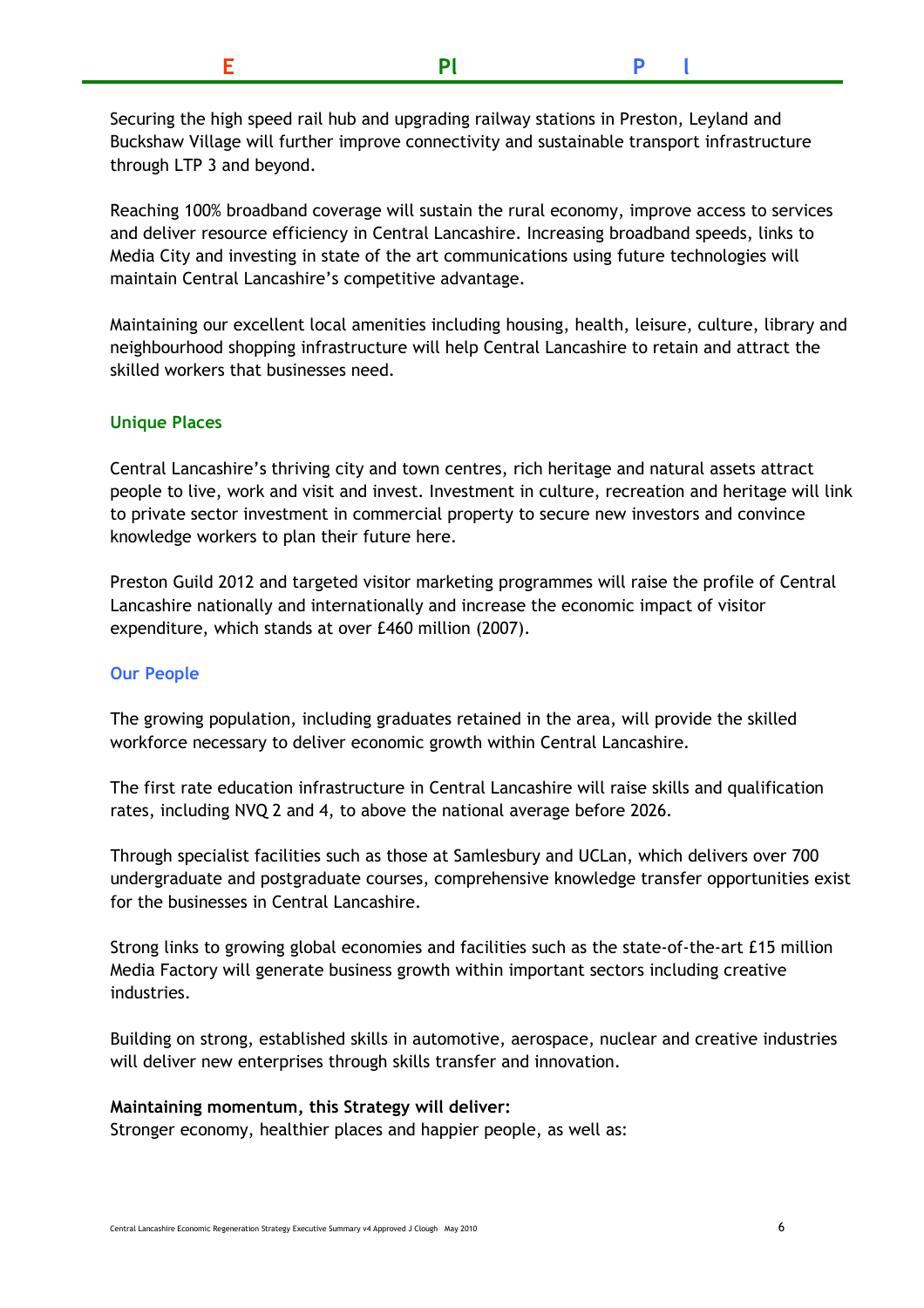| <b>DI</b> |  | $P \cup$ |
|-----------|--|----------|
|-----------|--|----------|

 Securing the high speed rail hub and upgrading railway stations in Preston, Leyland and Buckshaw Village will further improve connectivity and sustainable transport infrastructure through LTP 3 and beyond.

 Reaching 100% broadband coverage will sustain the rural economy, improve access to services and deliver resource efficiency in Central Lancashire. Increasing broadband speeds, links to Media City and investing in state of the art communications using future technologies will maintain Central Lancashire's competitive advantage.

 Maintaining our excellent local amenities including housing, health, leisure, culture, library and neighbourhood shopping infrastructure will help Central Lancashire to retain and attract the skilled workers that businesses need.

### Unique Places

 Central Lancashire's thriving city and town centres, rich heritage and natural assets attract people to live, work and visit and invest. Investment in culture, recreation and heritage will link to private sector investment in commercial property to secure new investors and convince knowledge workers to plan their future here.

 Preston Guild 2012 and targeted visitor marketing programmes will raise the profile of Central Lancashire nationally and internationally and increase the economic impact of visitor expenditure, which stands at over £460 million (2007).

#### Our People

 The growing population, including graduates retained in the area, will provide the skilled workforce necessary to deliver economic growth within Central Lancashire.

 The first rate education infrastructure in Central Lancashire will raise skills and qualification rates, including NVQ 2 and 4, to above the national average before 2026.

 Through specialist facilities such as those at Samlesbury and UCLan, which delivers over 700 undergraduate and postgraduate courses, comprehensive knowledge transfer opportunities exist for the businesses in Central Lancashire.

Strong links to growing global economies and facilities such as the state-of-the-art £15 million Media Factory will generate business growth within important sectors including creative industries.

 Building on strong, established skills in automotive, aerospace, nuclear and creative industries will deliver new enterprises through skills transfer and innovation.

#### Maintaining momentum, this Strategy will deliver:

Stronger economy, healthier places and happier people, as well as: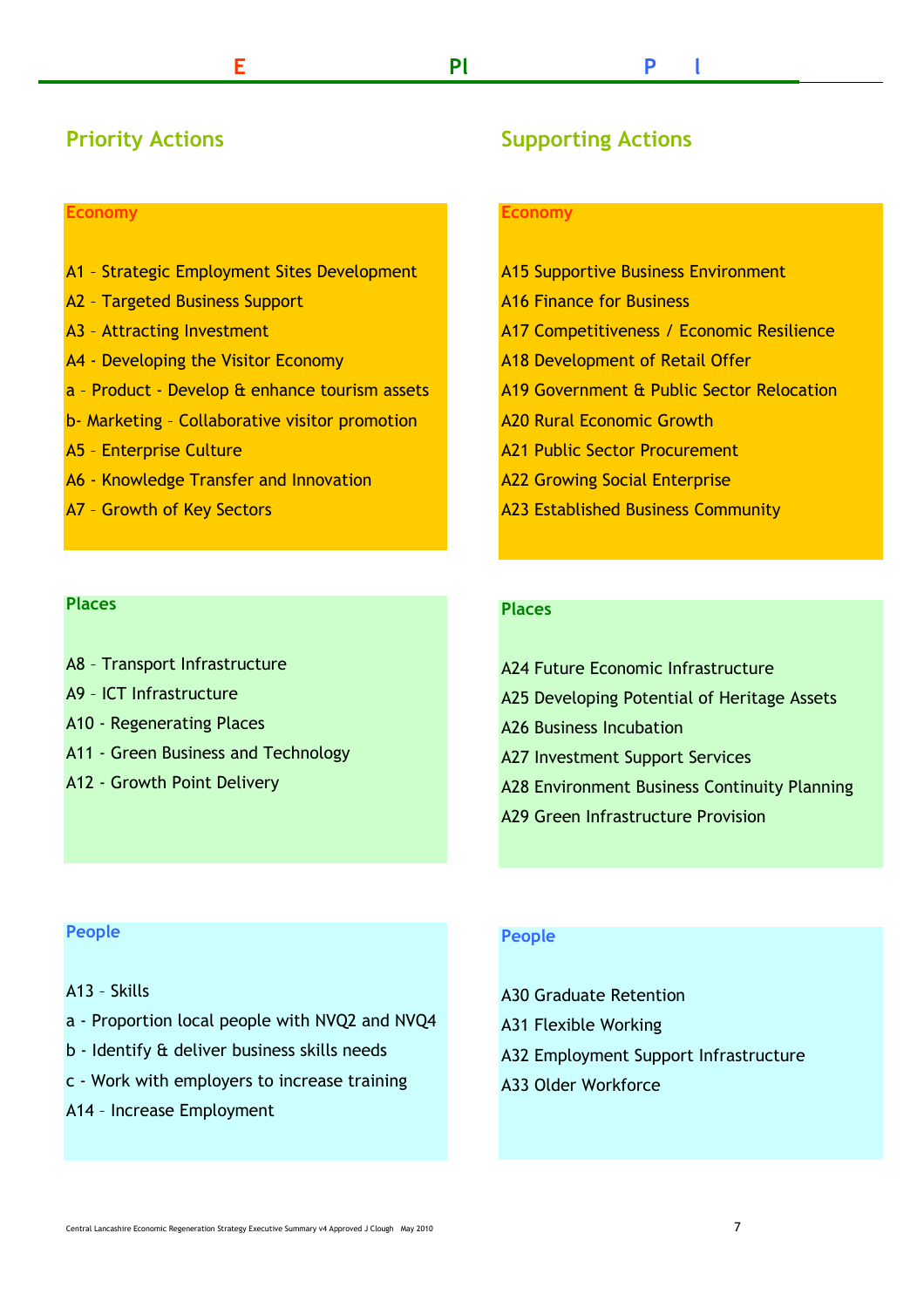# Priority Actions

#### Economy

- A1 Strategic Employment Sites Development
- A2 Targeted Business Support
- A3 Attracting Investment
- A4 Developing the Visitor Economy
- a Product Develop & enhance tourism assets
- b- Marketing Collaborative visitor promotion
- A5 Enterprise Culture
- A6 Knowledge Transfer and Innovation
- A7 Growth of Key Sectors

#### Places

- A8 Transport Infrastructure
- A9 ICT Infrastructure
- A10 Regenerating Places
- A11 Green Business and Technology
- A12 Growth Point Delivery

# Supporting Actions

#### Economy

- A15 Supportive Business Environment
- A16 Finance for Business
- A17 Competitiveness / Economic Resilience
- A18 Development of Retail Offer
- A19 Government & Public Sector Relocation
- A20 Rural Economic Growth
- A21 Public Sector Procurement
- A22 Growing Social Enterprise
- A23 Established Business Community

#### Places

- A24 Future Economic Infrastructure A25 Developing Potential of Heritage Assets A26 Business Incubation A27 Investment Support Services A28 Environment Business Continuity Planning
- A29 Green Infrastructure Provision

#### People

- A13 Skills
- a Proportion local people with NVQ2 and NVQ4
- b Identify & deliver business skills needs
- c Work with employers to increase training
- A14 Increase Employment

#### People

A30 Graduate Retention

- A31 Flexible Working
- A32 Employment Support Infrastructure
- A33 Older Workforce